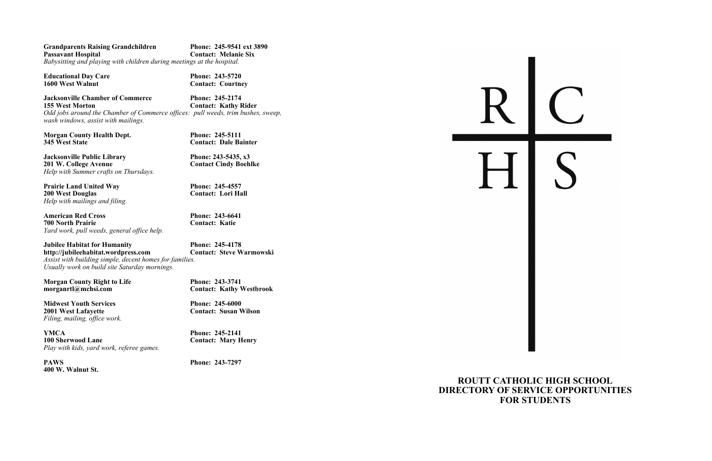**Grandparents Raising Grandchildren** Phone: 245-9541 ext 3890<br> **Passavant Hospital** Contact: Melanie Six **Contact: Melanie Six** *Babysitting and playing with children during meetings at the hospital.*

**Educational Day Care Phone: 243-5720**<br>1600 West Walnut **Phone: 243-5720** 

*Contact: Courtney* 

**Jacksonville Chamber of Commerce Phone: 245-2174**<br>155 West Morton **Contact: Kathy F 155 Contact: Kathy Rider** *Odd jobs around the Chamber of Commerce offices: pull weeds, trim bushes, sweep, wash windows, assist with mailings.*

**Morgan County Health Dept.**<br> **Phone: 245-5111**<br> **Phone: 245-5111**<br> **Contact: Dale Ba** 

**Jacksonville Public Library Phone: 243-5435, x3**<br> **201 W. College Avenue Phone: 243-5435, x3** *Help with Summer crafts on Thursdays.*

**Prairie Land United Way Phone: 245-4557**<br> **200 West Douglas Phone: 245-4557 200 West Douglas** *Help with mailings and filing.*

**345 West State Contact: Dale Bainter**

**Midwest Youth Services**<br> **Phone: 245-6000**<br> **Phone: 245-6000**<br> **Contact: Susan V** *Filing, mailing, office work.*

**YMCA Phone: 245-2141 100 Sherwood Lane Contact: Mary H** *Play with kids, yard work, referee games.*

**American Red Cross Phone: 243-6641 700 North Prairie Contact: Katie** *Yard work, pull weeds, general office help.*

**Jubilee Habitat for Humanity Phone: 245-4178 http://jubileehabitat.wordpress.com Contact: Steve Warmowski** *Assist with building simple, decent homes for families. Usually work on build site Saturday mornings.*

**Morgan County Right to Life Phone: 243-3741<br>morganrtl@mchsi.com Contact: Kathy V** 

**PAWS Phone: 243-7297 400 W. Walnut St.**

**201 Contact Cindy Boehlke** 

**Contact: Kathy Westbrook** 

**2001 Contact: Susan Wilson** 

**100 Contact: Mary Henry** 



## **ROUTT CATHOLIC HIGH SCHOOL DIRECTORY OF SERVICE OPPORTUNITIES FOR STUDENTS**